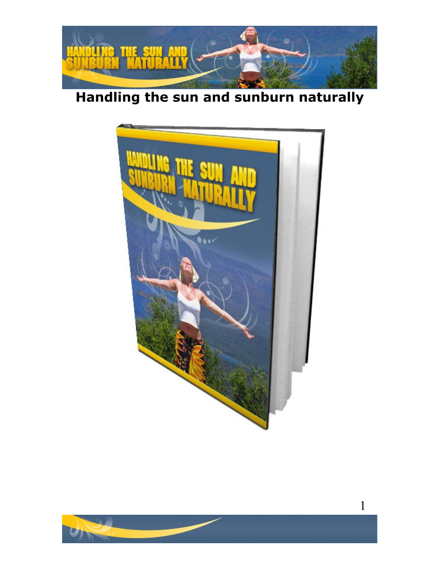

# **Handling the sun and sunburn naturally**



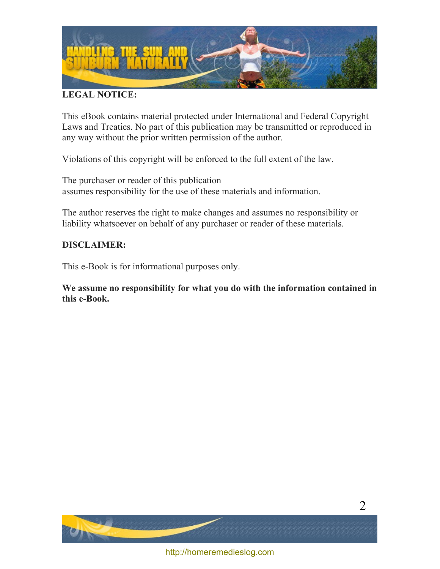

#### **LEGAL NOTICE:**

This eBook contains material protected under International and Federal Copyright Laws and Treaties. No part of this publication may be transmitted or reproduced in any way without the prior written permission of the author.

Violations of this copyright will be enforced to the full extent of the law.

The purchaser or reader of this publication assumes responsibility for the use of these materials and information.

The author reserves the right to make changes and assumes no responsibility or liability whatsoever on behalf of any purchaser or reader of these materials.

#### **DISCLAIMER:**

This e-Book is for informational purposes only.

**We assume no responsibility for what you do with the information contained in this e-Book.**



2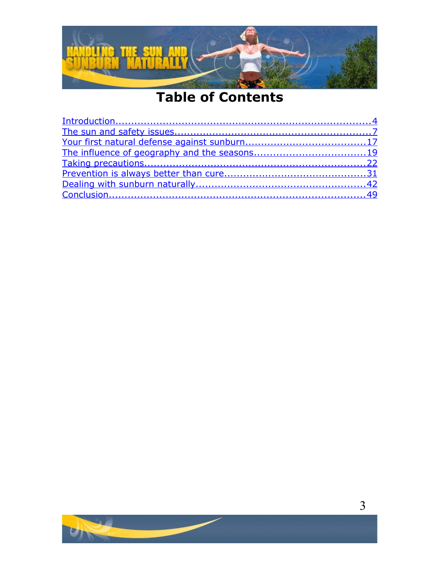

# **Table of Contents**

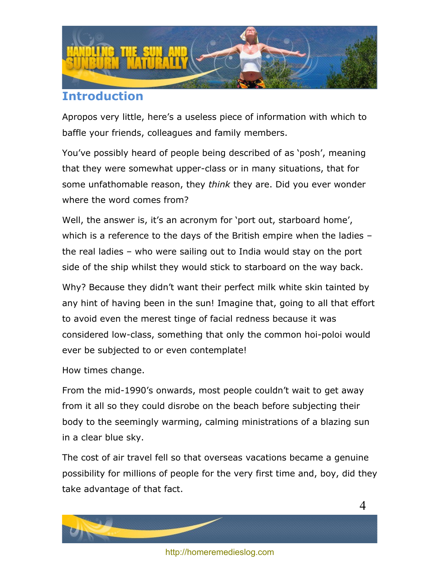

# <span id="page-3-0"></span>**Introduction**

Apropos very little, here's a useless piece of information with which to baffle your friends, colleagues and family members.

You've possibly heard of people being described of as 'posh', meaning that they were somewhat upper-class or in many situations, that for some unfathomable reason, they *think* they are. Did you ever wonder where the word comes from?

Well, the answer is, it's an acronym for 'port out, starboard home', which is a reference to the days of the British empire when the ladies – the real ladies – who were sailing out to India would stay on the port side of the ship whilst they would stick to starboard on the way back.

Why? Because they didn't want their perfect milk white skin tainted by any hint of having been in the sun! Imagine that, going to all that effort to avoid even the merest tinge of facial redness because it was considered low-class, something that only the common hoi-poloi would ever be subjected to or even contemplate!

How times change.

From the mid-1990's onwards, most people couldn't wait to get away from it all so they could disrobe on the beach before subjecting their body to the seemingly warming, calming ministrations of a blazing sun in a clear blue sky.

The cost of air travel fell so that overseas vacations became a genuine possibility for millions of people for the very first time and, boy, did they take advantage of that fact.





<http://homeremedieslog.com>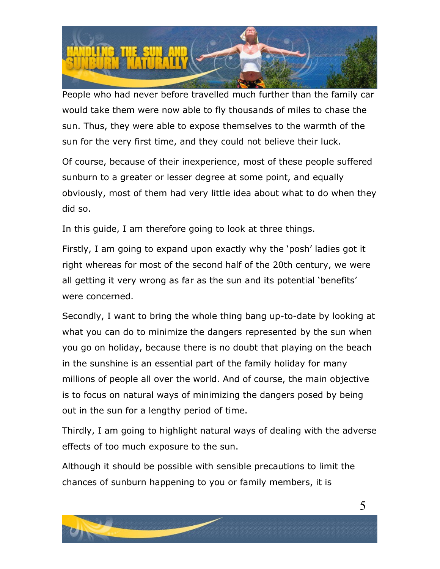

People who had never before travelled much further than the family car would take them were now able to fly thousands of miles to chase the sun. Thus, they were able to expose themselves to the warmth of the sun for the very first time, and they could not believe their luck.

Of course, because of their inexperience, most of these people suffered sunburn to a greater or lesser degree at some point, and equally obviously, most of them had very little idea about what to do when they did so.

In this guide, I am therefore going to look at three things.

Firstly, I am going to expand upon exactly why the 'posh' ladies got it right whereas for most of the second half of the 20th century, we were all getting it very wrong as far as the sun and its potential 'benefits' were concerned.

Secondly, I want to bring the whole thing bang up-to-date by looking at what you can do to minimize the dangers represented by the sun when you go on holiday, because there is no doubt that playing on the beach in the sunshine is an essential part of the family holiday for many millions of people all over the world. And of course, the main objective is to focus on natural ways of minimizing the dangers posed by being out in the sun for a lengthy period of time.

Thirdly, I am going to highlight natural ways of dealing with the adverse effects of too much exposure to the sun.

Although it should be possible with sensible precautions to limit the chances of sunburn happening to you or family members, it is

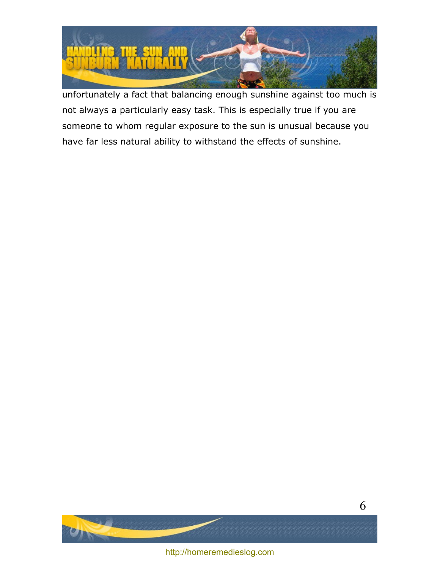

unfortunately a fact that balancing enough sunshine against too much is not always a particularly easy task. This is especially true if you are someone to whom regular exposure to the sun is unusual because you have far less natural ability to withstand the effects of sunshine.

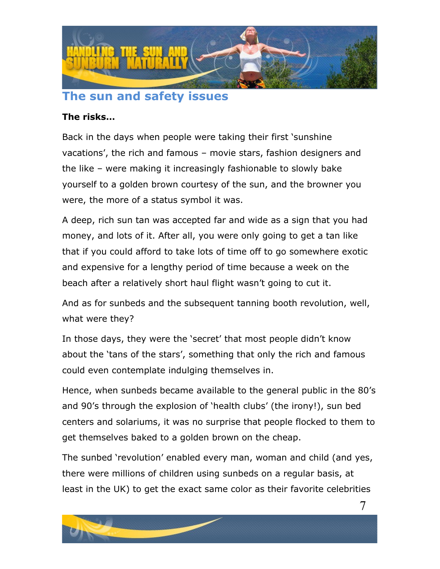

## <span id="page-6-0"></span>**The sun and safety issues**

#### **The risks…**

Back in the days when people were taking their first 'sunshine vacations', the rich and famous – movie stars, fashion designers and the like – were making it increasingly fashionable to slowly bake yourself to a golden brown courtesy of the sun, and the browner you were, the more of a status symbol it was.

A deep, rich sun tan was accepted far and wide as a sign that you had money, and lots of it. After all, you were only going to get a tan like that if you could afford to take lots of time off to go somewhere exotic and expensive for a lengthy period of time because a week on the beach after a relatively short haul flight wasn't going to cut it.

And as for sunbeds and the subsequent tanning booth revolution, well, what were they?

In those days, they were the 'secret' that most people didn't know about the 'tans of the stars', something that only the rich and famous could even contemplate indulging themselves in.

Hence, when sunbeds became available to the general public in the 80's and 90's through the explosion of 'health clubs' (the irony!), sun bed centers and solariums, it was no surprise that people flocked to them to get themselves baked to a golden brown on the cheap.

The sunbed 'revolution' enabled every man, woman and child (and yes, there were millions of children using sunbeds on a regular basis, at least in the UK) to get the exact same color as their favorite celebrities

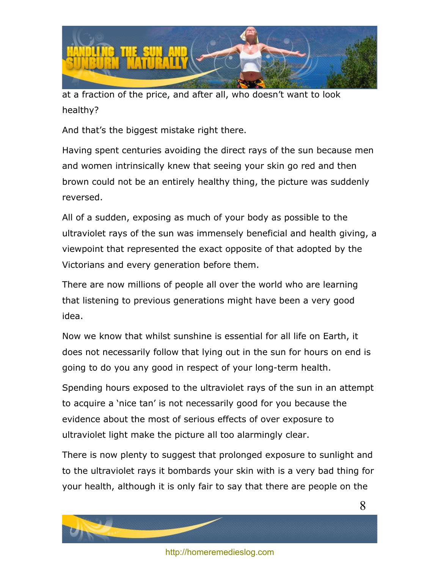

at a fraction of the price, and after all, who doesn't want to look healthy?

And that's the biggest mistake right there.

Having spent centuries avoiding the direct rays of the sun because men and women intrinsically knew that seeing your skin go red and then brown could not be an entirely healthy thing, the picture was suddenly reversed.

All of a sudden, exposing as much of your body as possible to the ultraviolet rays of the sun was immensely beneficial and health giving, a viewpoint that represented the exact opposite of that adopted by the Victorians and every generation before them.

There are now millions of people all over the world who are learning that listening to previous generations might have been a very good idea.

Now we know that whilst sunshine is essential for all life on Earth, it does not necessarily follow that lying out in the sun for hours on end is going to do you any good in respect of your long-term health.

Spending hours exposed to the ultraviolet rays of the sun in an attempt to acquire a 'nice tan' is not necessarily good for you because the evidence about the most of serious effects of over exposure to ultraviolet light make the picture all too alarmingly clear.

There is now plenty to suggest that prolonged exposure to sunlight and to the ultraviolet rays it bombards your skin with is a very bad thing for your health, although it is only fair to say that there are people on the

8



<http://homeremedieslog.com>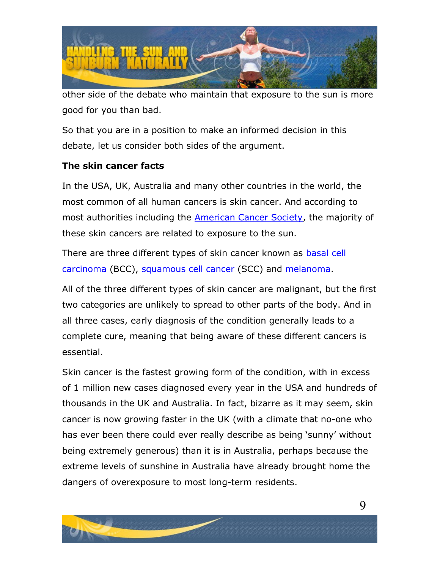

other side of the debate who maintain that exposure to the sun is more good for you than bad.

So that you are in a position to make an informed decision in this debate, let us consider both sides of the argument.

#### **The skin cancer facts**

In the USA, UK, Australia and many other countries in the world, the most common of all human cancers is skin cancer. And according to most authorities including the [American Cancer Society,](http://www.cancer.org/docroot/ped/content/ped_7_1_what_you_need_to_know_about_skin_cancer.asp) the majority of these skin cancers are related to exposure to the sun.

There are three different types of skin cancer known as [basal cell](http://en.wikipedia.org/wiki/Basal_cell_cancer) [carcinoma](http://en.wikipedia.org/wiki/Basal_cell_cancer) (BCC), [squamous cell cancer](http://en.wikipedia.org/wiki/Squamous_cell_cancer) (SCC) and [melanoma.](http://en.wikipedia.org/wiki/Melanoma)

All of the three different types of skin cancer are malignant, but the first two categories are unlikely to spread to other parts of the body. And in all three cases, early diagnosis of the condition generally leads to a complete cure, meaning that being aware of these different cancers is essential.

Skin cancer is the fastest growing form of the condition, with in excess of 1 million new cases diagnosed every year in the USA and hundreds of thousands in the UK and Australia. In fact, bizarre as it may seem, skin cancer is now growing faster in the UK (with a climate that no-one who has ever been there could ever really describe as being 'sunny' without being extremely generous) than it is in Australia, perhaps because the extreme levels of sunshine in Australia have already brought home the dangers of overexposure to most long-term residents.

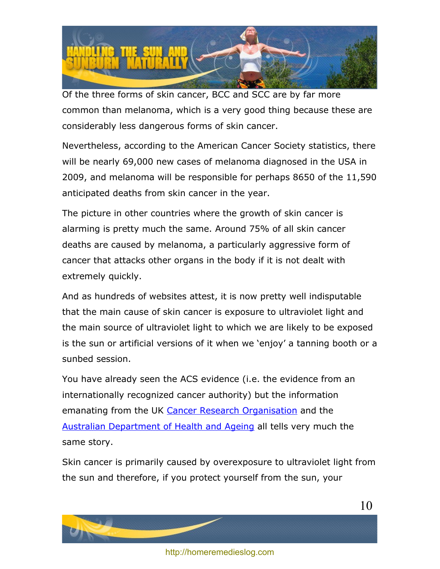

Of the three forms of skin cancer, BCC and SCC are by far more common than melanoma, which is a very good thing because these are considerably less dangerous forms of skin cancer.

Nevertheless, according to the American Cancer Society statistics, there will be nearly 69,000 new cases of melanoma diagnosed in the USA in 2009, and melanoma will be responsible for perhaps 8650 of the 11,590 anticipated deaths from skin cancer in the year.

The picture in other countries where the growth of skin cancer is alarming is pretty much the same. Around 75% of all skin cancer deaths are caused by melanoma, a particularly aggressive form of cancer that attacks other organs in the body if it is not dealt with extremely quickly.

And as hundreds of websites attest, it is now pretty well indisputable that the main cause of skin cancer is exposure to ultraviolet light and the main source of ultraviolet light to which we are likely to be exposed is the sun or artificial versions of it when we 'enjoy' a tanning booth or a sunbed session.

You have already seen the ACS evidence (i.e. the evidence from an internationally recognized cancer authority) but the information emanating from the UK [Cancer Research Organisation](http://www.sunsmart.org.uk/skin-cancer-facts/index.htm) and the [Australian Department of Health and Ageing](http://www.skincancer.gov.au/) all tells very much the same story.

Skin cancer is primarily caused by overexposure to ultraviolet light from the sun and therefore, if you protect yourself from the sun, your

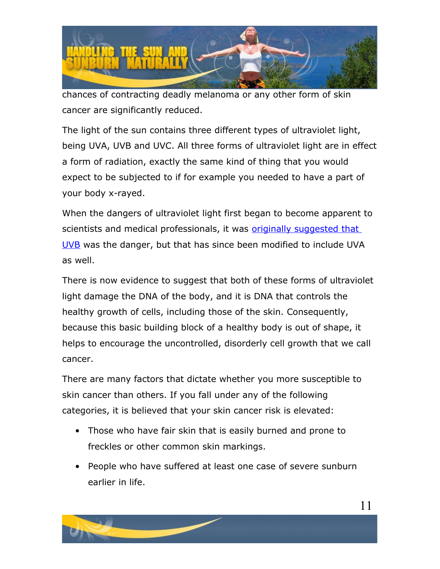

chances of contracting deadly melanoma or any other form of skin cancer are significantly reduced.

The light of the sun contains three different types of ultraviolet light, being UVA, UVB and UVC. All three forms of ultraviolet light are in effect a form of radiation, exactly the same kind of thing that you would expect to be subjected to if for example you needed to have a part of your body x-rayed.

When the dangers of ultraviolet light first began to become apparent to scientists and medical professionals, it was [originally suggested that](http://www.ehealthmd.com/library/skincancer/SC_causes.html) [UVB](http://www.ehealthmd.com/library/skincancer/SC_causes.html) was the danger, but that has since been modified to include UVA as well.

There is now evidence to suggest that both of these forms of ultraviolet light damage the DNA of the body, and it is DNA that controls the healthy growth of cells, including those of the skin. Consequently, because this basic building block of a healthy body is out of shape, it helps to encourage the uncontrolled, disorderly cell growth that we call cancer.

There are many factors that dictate whether you more susceptible to skin cancer than others. If you fall under any of the following categories, it is believed that your skin cancer risk is elevated:

- Those who have fair skin that is easily burned and prone to freckles or other common skin markings.
- People who have suffered at least one case of severe sunburn earlier in life.

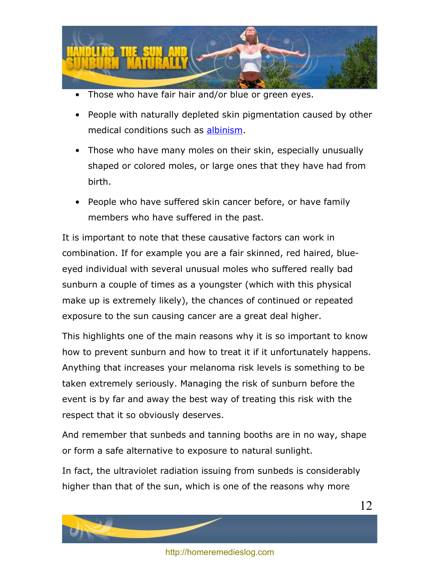

- Those who have fair hair and/or blue or green eyes.
- People with naturally depleted skin pigmentation caused by other medical conditions such as [albinism.](http://en.wikipedia.org/wiki/Albinism)
- Those who have many moles on their skin, especially unusually shaped or colored moles, or large ones that they have had from birth.
- People who have suffered skin cancer before, or have family members who have suffered in the past.

It is important to note that these causative factors can work in combination. If for example you are a fair skinned, red haired, blueeyed individual with several unusual moles who suffered really bad sunburn a couple of times as a youngster (which with this physical make up is extremely likely), the chances of continued or repeated exposure to the sun causing cancer are a great deal higher.

This highlights one of the main reasons why it is so important to know how to prevent sunburn and how to treat it if it unfortunately happens. Anything that increases your melanoma risk levels is something to be taken extremely seriously. Managing the risk of sunburn before the event is by far and away the best way of treating this risk with the respect that it so obviously deserves.

And remember that sunbeds and tanning booths are in no way, shape or form a safe alternative to exposure to natural sunlight.

In fact, the ultraviolet radiation issuing from sunbeds is considerably higher than that of the sun, which is one of the reasons why more



12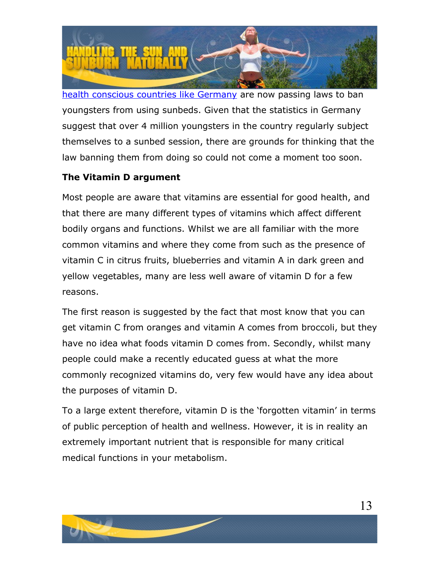

[health conscious countries like Germany](http://www.physorg.com/news164627121.html) are now passing laws to ban youngsters from using sunbeds. Given that the statistics in Germany suggest that over 4 million youngsters in the country regularly subject themselves to a sunbed session, there are grounds for thinking that the law banning them from doing so could not come a moment too soon.

#### **The Vitamin D argument**

Most people are aware that vitamins are essential for good health, and that there are many different types of vitamins which affect different bodily organs and functions. Whilst we are all familiar with the more common vitamins and where they come from such as the presence of vitamin C in citrus fruits, blueberries and vitamin A in dark green and yellow vegetables, many are less well aware of vitamin D for a few reasons.

The first reason is suggested by the fact that most know that you can get vitamin C from oranges and vitamin A comes from broccoli, but they have no idea what foods vitamin D comes from. Secondly, whilst many people could make a recently educated guess at what the more commonly recognized vitamins do, very few would have any idea about the purposes of vitamin D.

To a large extent therefore, vitamin D is the 'forgotten vitamin' in terms of public perception of health and wellness. However, it is in reality an extremely important nutrient that is responsible for many critical medical functions in your metabolism.

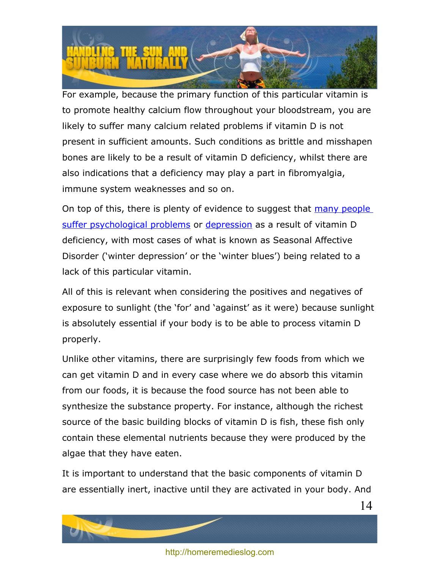

For example, because the primary function of this particular vitamin is to promote healthy calcium flow throughout your bloodstream, you are likely to suffer many calcium related problems if vitamin D is not present in sufficient amounts. Such conditions as brittle and misshapen bones are likely to be a result of vitamin D deficiency, whilst there are also indications that a deficiency may play a part in fibromyalgia, immune system weaknesses and so on.

On top of this, there is plenty of evidence to suggest that [many people](http://www.vitamindcouncil.org/depression.shtml) [suffer psychological problems](http://www.vitamindcouncil.org/depression.shtml) or [depression](http://www.sciencedaily.com/releases/2008/05/080505162841.htm) as a result of vitamin D deficiency, with most cases of what is known as Seasonal Affective Disorder ('winter depression' or the 'winter blues') being related to a lack of this particular vitamin.

All of this is relevant when considering the positives and negatives of exposure to sunlight (the 'for' and 'against' as it were) because sunlight is absolutely essential if your body is to be able to process vitamin D properly.

Unlike other vitamins, there are surprisingly few foods from which we can get vitamin D and in every case where we do absorb this vitamin from our foods, it is because the food source has not been able to synthesize the substance property. For instance, although the richest source of the basic building blocks of vitamin D is fish, these fish only contain these elemental nutrients because they were produced by the algae that they have eaten.

It is important to understand that the basic components of vitamin D are essentially inert, inactive until they are activated in your body. And



14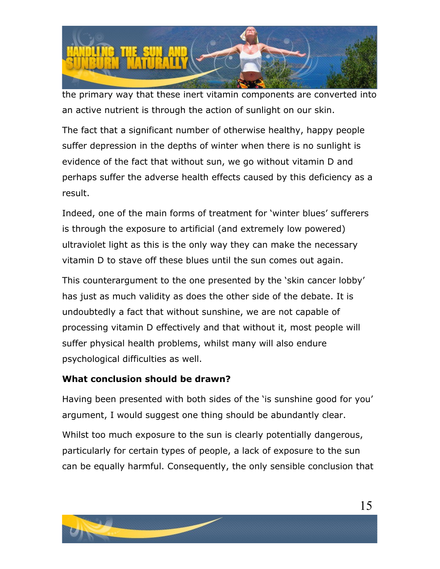

the primary way that these inert vitamin components are converted into an active nutrient is through the action of sunlight on our skin.

The fact that a significant number of otherwise healthy, happy people suffer depression in the depths of winter when there is no sunlight is evidence of the fact that without sun, we go without vitamin D and perhaps suffer the adverse health effects caused by this deficiency as a result.

Indeed, one of the main forms of treatment for 'winter blues' sufferers is through the exposure to artificial (and extremely low powered) ultraviolet light as this is the only way they can make the necessary vitamin D to stave off these blues until the sun comes out again.

This counterargument to the one presented by the 'skin cancer lobby' has just as much validity as does the other side of the debate. It is undoubtedly a fact that without sunshine, we are not capable of processing vitamin D effectively and that without it, most people will suffer physical health problems, whilst many will also endure psychological difficulties as well.

#### **What conclusion should be drawn?**

Having been presented with both sides of the 'is sunshine good for you' argument, I would suggest one thing should be abundantly clear.

Whilst too much exposure to the sun is clearly potentially dangerous, particularly for certain types of people, a lack of exposure to the sun can be equally harmful. Consequently, the only sensible conclusion that

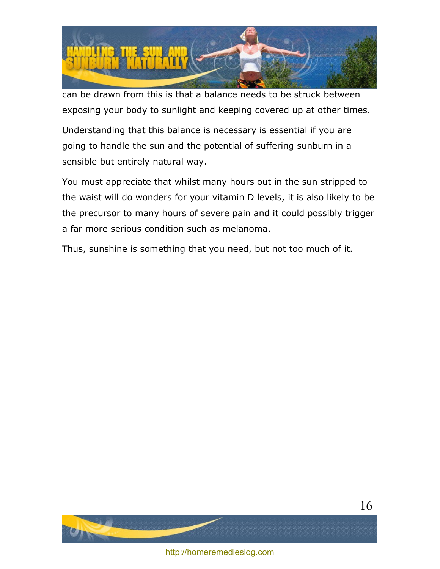

can be drawn from this is that a balance needs to be struck between exposing your body to sunlight and keeping covered up at other times.

Understanding that this balance is necessary is essential if you are going to handle the sun and the potential of suffering sunburn in a sensible but entirely natural way.

You must appreciate that whilst many hours out in the sun stripped to the waist will do wonders for your vitamin D levels, it is also likely to be the precursor to many hours of severe pain and it could possibly trigger a far more serious condition such as melanoma.

Thus, sunshine is something that you need, but not too much of it.

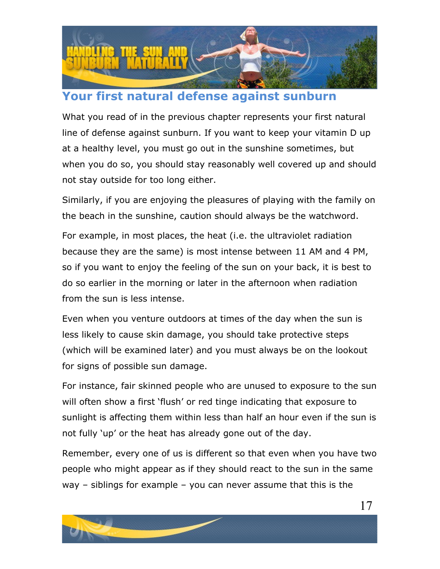

# <span id="page-16-0"></span>**Your first natural defense against sunburn**

What you read of in the previous chapter represents your first natural line of defense against sunburn. If you want to keep your vitamin D up at a healthy level, you must go out in the sunshine sometimes, but when you do so, you should stay reasonably well covered up and should not stay outside for too long either.

Similarly, if you are enjoying the pleasures of playing with the family on the beach in the sunshine, caution should always be the watchword.

For example, in most places, the heat (i.e. the ultraviolet radiation because they are the same) is most intense between 11 AM and 4 PM, so if you want to enjoy the feeling of the sun on your back, it is best to do so earlier in the morning or later in the afternoon when radiation from the sun is less intense.

Even when you venture outdoors at times of the day when the sun is less likely to cause skin damage, you should take protective steps (which will be examined later) and you must always be on the lookout for signs of possible sun damage.

For instance, fair skinned people who are unused to exposure to the sun will often show a first 'flush' or red tinge indicating that exposure to sunlight is affecting them within less than half an hour even if the sun is not fully 'up' or the heat has already gone out of the day.

Remember, every one of us is different so that even when you have two people who might appear as if they should react to the sun in the same way – siblings for example – you can never assume that this is the

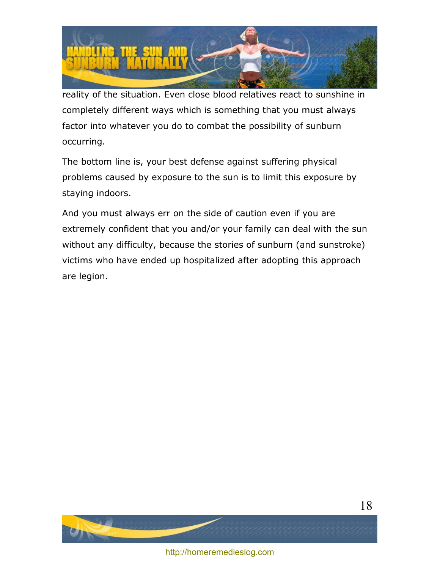

reality of the situation. Even close blood relatives react to sunshine in completely different ways which is something that you must always factor into whatever you do to combat the possibility of sunburn occurring.

The bottom line is, your best defense against suffering physical problems caused by exposure to the sun is to limit this exposure by staying indoors.

And you must always err on the side of caution even if you are extremely confident that you and/or your family can deal with the sun without any difficulty, because the stories of sunburn (and sunstroke) victims who have ended up hospitalized after adopting this approach are legion.



<http://homeremedieslog.com>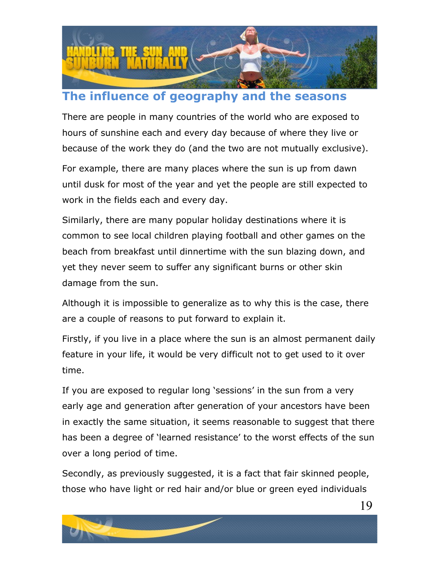

# <span id="page-18-0"></span>**The influence of geography and the seasons**

There are people in many countries of the world who are exposed to hours of sunshine each and every day because of where they live or because of the work they do (and the two are not mutually exclusive).

For example, there are many places where the sun is up from dawn until dusk for most of the year and yet the people are still expected to work in the fields each and every day.

Similarly, there are many popular holiday destinations where it is common to see local children playing football and other games on the beach from breakfast until dinnertime with the sun blazing down, and yet they never seem to suffer any significant burns or other skin damage from the sun.

Although it is impossible to generalize as to why this is the case, there are a couple of reasons to put forward to explain it.

Firstly, if you live in a place where the sun is an almost permanent daily feature in your life, it would be very difficult not to get used to it over time.

If you are exposed to regular long 'sessions' in the sun from a very early age and generation after generation of your ancestors have been in exactly the same situation, it seems reasonable to suggest that there has been a degree of 'learned resistance' to the worst effects of the sun over a long period of time.

Secondly, as previously suggested, it is a fact that fair skinned people, those who have light or red hair and/or blue or green eyed individuals

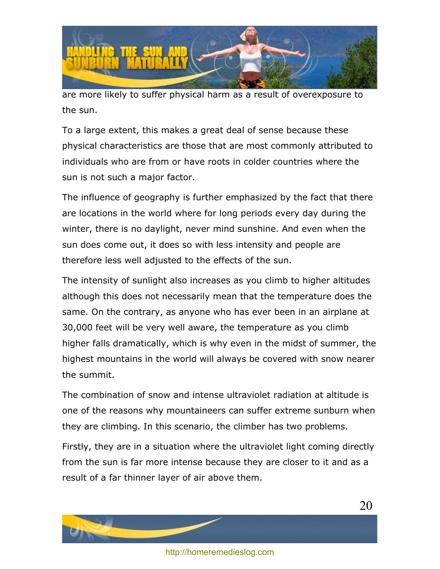

are more likely to suffer physical harm as a result of overexposure to the sun.

To a large extent, this makes a great deal of sense because these physical characteristics are those that are most commonly attributed to individuals who are from or have roots in colder countries where the sun is not such a major factor.

The influence of geography is further emphasized by the fact that there are locations in the world where for long periods every day during the winter, there is no daylight, never mind sunshine. And even when the sun does come out, it does so with less intensity and people are therefore less well adjusted to the effects of the sun.

The intensity of sunlight also increases as you climb to higher altitudes although this does not necessarily mean that the temperature does the same. On the contrary, as anyone who has ever been in an airplane at 30,000 feet will be very well aware, the temperature as you climb higher falls dramatically, which is why even in the midst of summer, the highest mountains in the world will always be covered with snow nearer the summit.

The combination of snow and intense ultraviolet radiation at altitude is one of the reasons why mountaineers can suffer extreme sunburn when they are climbing. In this scenario, the climber has two problems.

Firstly, they are in a situation where the ultraviolet light coming directly from the sun is far more intense because they are closer to it and as a result of a far thinner layer of air above them.

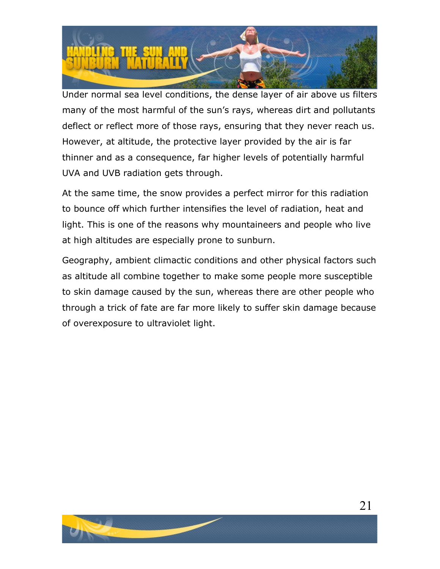

Under normal sea level conditions, the dense layer of air above us filters many of the most harmful of the sun's rays, whereas dirt and pollutants deflect or reflect more of those rays, ensuring that they never reach us. However, at altitude, the protective layer provided by the air is far thinner and as a consequence, far higher levels of potentially harmful UVA and UVB radiation gets through.

At the same time, the snow provides a perfect mirror for this radiation to bounce off which further intensifies the level of radiation, heat and light. This is one of the reasons why mountaineers and people who live at high altitudes are especially prone to sunburn.

Geography, ambient climactic conditions and other physical factors such as altitude all combine together to make some people more susceptible to skin damage caused by the sun, whereas there are other people who through a trick of fate are far more likely to suffer skin damage because of overexposure to ultraviolet light.



21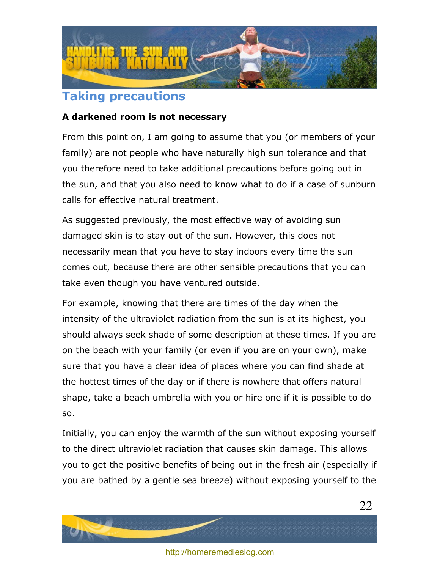

## <span id="page-21-0"></span>**Taking precautions**

#### **A darkened room is not necessary**

From this point on, I am going to assume that you (or members of your family) are not people who have naturally high sun tolerance and that you therefore need to take additional precautions before going out in the sun, and that you also need to know what to do if a case of sunburn calls for effective natural treatment.

As suggested previously, the most effective way of avoiding sun damaged skin is to stay out of the sun. However, this does not necessarily mean that you have to stay indoors every time the sun comes out, because there are other sensible precautions that you can take even though you have ventured outside.

For example, knowing that there are times of the day when the intensity of the ultraviolet radiation from the sun is at its highest, you should always seek shade of some description at these times. If you are on the beach with your family (or even if you are on your own), make sure that you have a clear idea of places where you can find shade at the hottest times of the day or if there is nowhere that offers natural shape, take a beach umbrella with you or hire one if it is possible to do so.

Initially, you can enjoy the warmth of the sun without exposing yourself to the direct ultraviolet radiation that causes skin damage. This allows you to get the positive benefits of being out in the fresh air (especially if you are bathed by a gentle sea breeze) without exposing yourself to the



22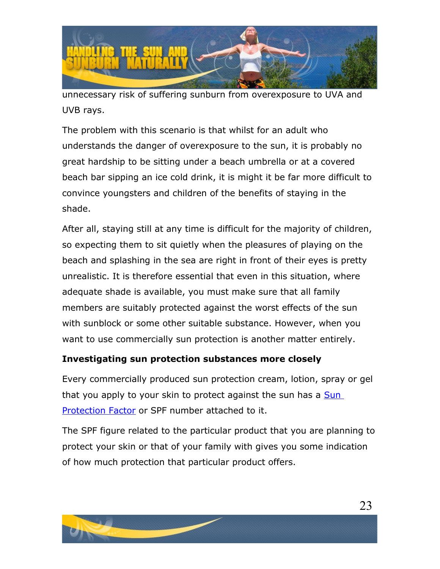

unnecessary risk of suffering sunburn from overexposure to UVA and UVB rays.

The problem with this scenario is that whilst for an adult who understands the danger of overexposure to the sun, it is probably no great hardship to be sitting under a beach umbrella or at a covered beach bar sipping an ice cold drink, it is might it be far more difficult to convince youngsters and children of the benefits of staying in the shade.

After all, staying still at any time is difficult for the majority of children, so expecting them to sit quietly when the pleasures of playing on the beach and splashing in the sea are right in front of their eyes is pretty unrealistic. It is therefore essential that even in this situation, where adequate shade is available, you must make sure that all family members are suitably protected against the worst effects of the sun with sunblock or some other suitable substance. However, when you want to use commercially sun protection is another matter entirely.

#### **Investigating sun protection substances more closely**

Every commercially produced sun protection cream, lotion, spray or gel that you apply to your skin to protect against the sun has a **Sun** [Protection Factor](http://en.wikipedia.org/wiki/Sunscreen) or SPF number attached to it.

The SPF figure related to the particular product that you are planning to protect your skin or that of your family with gives you some indication of how much protection that particular product offers.

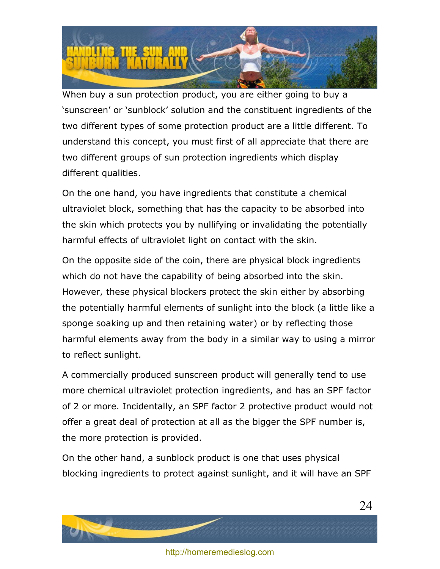

When buy a sun protection product, you are either going to buy a 'sunscreen' or 'sunblock' solution and the constituent ingredients of the two different types of some protection product are a little different. To understand this concept, you must first of all appreciate that there are two different groups of sun protection ingredients which display different qualities.

On the one hand, you have ingredients that constitute a chemical ultraviolet block, something that has the capacity to be absorbed into the skin which protects you by nullifying or invalidating the potentially harmful effects of ultraviolet light on contact with the skin.

On the opposite side of the coin, there are physical block ingredients which do not have the capability of being absorbed into the skin. However, these physical blockers protect the skin either by absorbing the potentially harmful elements of sunlight into the block (a little like a sponge soaking up and then retaining water) or by reflecting those harmful elements away from the body in a similar way to using a mirror to reflect sunlight.

A commercially produced sunscreen product will generally tend to use more chemical ultraviolet protection ingredients, and has an SPF factor of 2 or more. Incidentally, an SPF factor 2 protective product would not offer a great deal of protection at all as the bigger the SPF number is, the more protection is provided.

On the other hand, a sunblock product is one that uses physical blocking ingredients to protect against sunlight, and it will have an SPF

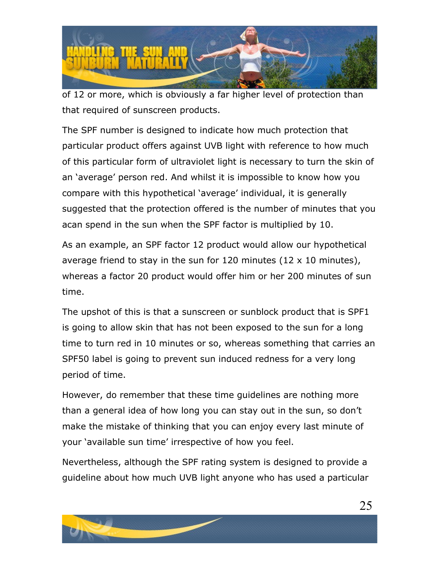

of 12 or more, which is obviously a far higher level of protection than that required of sunscreen products.

The SPF number is designed to indicate how much protection that particular product offers against UVB light with reference to how much of this particular form of ultraviolet light is necessary to turn the skin of an 'average' person red. And whilst it is impossible to know how you compare with this hypothetical 'average' individual, it is generally suggested that the protection offered is the number of minutes that you acan spend in the sun when the SPF factor is multiplied by 10.

As an example, an SPF factor 12 product would allow our hypothetical average friend to stay in the sun for 120 minutes  $(12 \times 10 \text{ minutes})$ , whereas a factor 20 product would offer him or her 200 minutes of sun time.

The upshot of this is that a sunscreen or sunblock product that is SPF1 is going to allow skin that has not been exposed to the sun for a long time to turn red in 10 minutes or so, whereas something that carries an SPF50 label is going to prevent sun induced redness for a very long period of time.

However, do remember that these time guidelines are nothing more than a general idea of how long you can stay out in the sun, so don't make the mistake of thinking that you can enjoy every last minute of your 'available sun time' irrespective of how you feel.

Nevertheless, although the SPF rating system is designed to provide a guideline about how much UVB light anyone who has used a particular

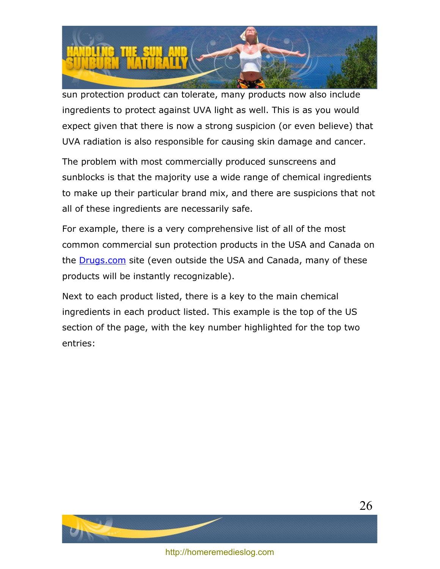

sun protection product can tolerate, many products now also include ingredients to protect against UVA light as well. This is as you would expect given that there is now a strong suspicion (or even believe) that UVA radiation is also responsible for causing skin damage and cancer.

The problem with most commercially produced sunscreens and sunblocks is that the majority use a wide range of chemical ingredients to make up their particular brand mix, and there are suspicions that not all of these ingredients are necessarily safe.

For example, there is a very comprehensive list of all of the most common commercial sun protection products in the USA and Canada on the **Drugs.com** site (even outside the USA and Canada, many of these products will be instantly recognizable).

Next to each product listed, there is a key to the main chemical ingredients in each product listed. This example is the top of the US section of the page, with the key number highlighted for the top two entries:



<http://homeremedieslog.com>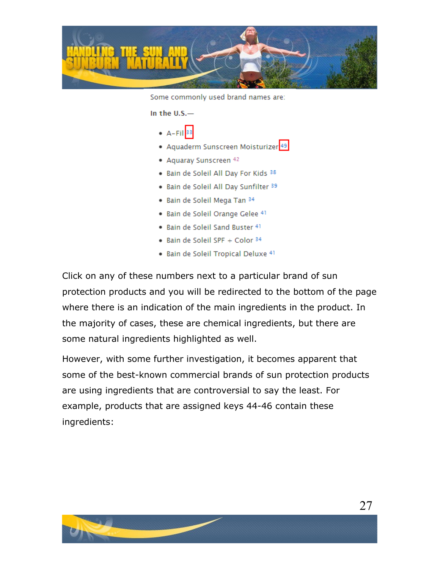

Some commonly used brand names are:

In the  $U.S.$ —

- $\bullet$  A-Fil<sup>33</sup>
- Aquaderm Sunscreen Moisturizer<sup>49</sup>
- Aquaray Sunscreen 42
- . Bain de Soleil All Day For Kids 38
- . Bain de Soleil All Day Sunfilter 39
- · Bain de Soleil Mega Tan 34
- · Bain de Soleil Orange Gelee 41
- . Bain de Soleil Sand Buster 41
- Bain de Soleil SPF + Color 34
- · Bain de Soleil Tropical Deluxe 41

Click on any of these numbers next to a particular brand of sun protection products and you will be redirected to the bottom of the page where there is an indication of the main ingredients in the product. In the majority of cases, these are chemical ingredients, but there are some natural ingredients highlighted as well.

However, with some further investigation, it becomes apparent that some of the best-known commercial brands of sun protection products are using ingredients that are controversial to say the least. For example, products that are assigned keys 44-46 contain these ingredients:

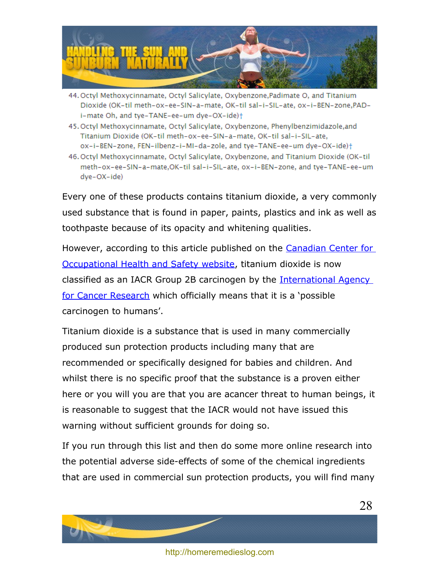

- 44. Octyl Methoxycinnamate, Octyl Salicylate, Oxybenzone, Padimate O, and Titanium Dioxide (OK-til meth-ox-ee-SIN-a-mate, OK-til sal-i-SIL-ate, ox-i-BEN-zone,PADi-mate Oh, and tye-TANE-ee-um dye-OX-ide)+
- 45. Octyl Methoxycinnamate, Octyl Salicylate, Oxybenzone, Phenylbenzimidazole, and Titanium Dioxide (OK-til meth-ox-ee-SIN-a-mate, OK-til sal-i-SIL-ate, ox-i-BEN-zone, FEN-ilbenz-i-MI-da-zole, and tye-TANE-ee-um dye-OX-ide)+
- 46. Octyl Methoxycinnamate, Octyl Salicylate, Oxybenzone, and Titanium Dioxide (OK-til meth-ox-ee-SIN-a-mate,OK-til sal-i-SIL-ate, ox-i-BEN-zone, and tye-TANE-ee-um dye-OX-ide)

Every one of these products contains titanium dioxide, a very commonly used substance that is found in paper, paints, plastics and ink as well as toothpaste because of its opacity and whitening qualities.

However, according to this article published on the [Canadian Center for](http://www.ccohs.ca/headlines/text186.html) [Occupational Health and Safety website,](http://www.ccohs.ca/headlines/text186.html) titanium dioxide is now classified as an IACR Group 2B carcinogen by the [International Agency](http://www.iarc.fr/) [for Cancer Research](http://www.iarc.fr/) which officially means that it is a 'possible carcinogen to humans'.

Titanium dioxide is a substance that is used in many commercially produced sun protection products including many that are recommended or specifically designed for babies and children. And whilst there is no specific proof that the substance is a proven either here or you will you are that you are acancer threat to human beings, it is reasonable to suggest that the IACR would not have issued this warning without sufficient grounds for doing so.

If you run through this list and then do some more online research into the potential adverse side-effects of some of the chemical ingredients that are used in commercial sun protection products, you will find many

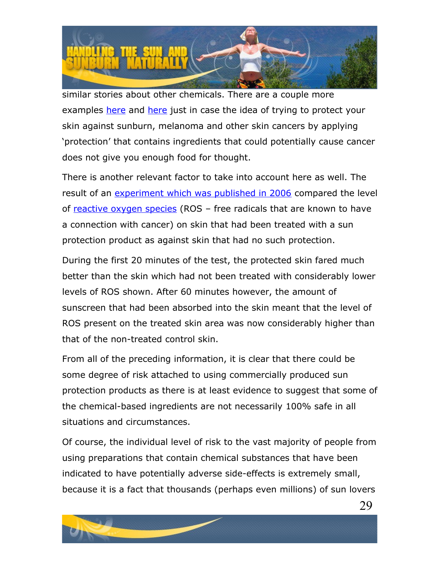

similar stories about other chemicals. There are a couple more examples [here](http://www.sciencedirect.com/science?_ob=ArticleURL&_udi=B6T38-3X23S45-4&_user=10&_rdoc=1&_fmt=&_orig=search&_sort=d&_docanchor=&view=c&_acct=C000050221&_version=1&_urlVersion=0&_userid=10&md5=f3ee1abc2cedd240e183338fdb43614a) and here just in case the idea of trying to protect your skin against sunburn, melanoma and other skin cancers by applying 'protection' that contains ingredients that could potentially cause cancer does not give you enough food for thought.

There is another relevant factor to take into account here as well. The result of an [experiment which was published in 2006](http://www.sciencedirect.com/science?_ob=ArticleURL&_udi=B6T38-4KBT1H4-1&_user=10&_rdoc=1&_fmt=&_orig=search&_sort=d&_docanchor=&view=c&_acct=C000050221&_version=1&_urlVersion=0&_userid=10&md5=2cd24f22edde306475fb65d387c67783) compared the level of [reactive oxygen species](http://en.wikipedia.org/wiki/Reactive_oxygen_species) (ROS - free radicals that are known to have a connection with cancer) on skin that had been treated with a sun protection product as against skin that had no such protection.

During the first 20 minutes of the test, the protected skin fared much better than the skin which had not been treated with considerably lower levels of ROS shown. After 60 minutes however, the amount of sunscreen that had been absorbed into the skin meant that the level of ROS present on the treated skin area was now considerably higher than that of the non-treated control skin.

From all of the preceding information, it is clear that there could be some degree of risk attached to using commercially produced sun protection products as there is at least evidence to suggest that some of the chemical-based ingredients are not necessarily 100% safe in all situations and circumstances.

Of course, the individual level of risk to the vast majority of people from using preparations that contain chemical substances that have been indicated to have potentially adverse side-effects is extremely small, because it is a fact that thousands (perhaps even millions) of sun lovers

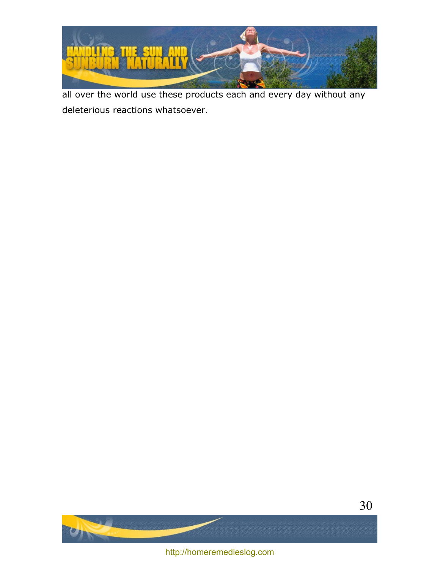

all over the world use these products each and every day without any deleterious reactions whatsoever.



<http://homeremedieslog.com>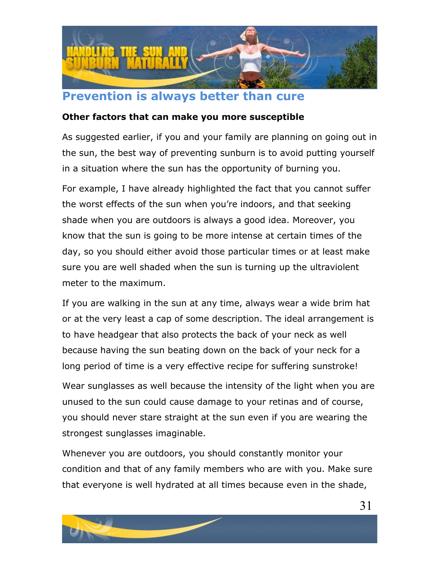

### <span id="page-30-0"></span>**Prevention is always better than cure**

#### **Other factors that can make you more susceptible**

As suggested earlier, if you and your family are planning on going out in the sun, the best way of preventing sunburn is to avoid putting yourself in a situation where the sun has the opportunity of burning you.

For example, I have already highlighted the fact that you cannot suffer the worst effects of the sun when you're indoors, and that seeking shade when you are outdoors is always a good idea. Moreover, you know that the sun is going to be more intense at certain times of the day, so you should either avoid those particular times or at least make sure you are well shaded when the sun is turning up the ultraviolent meter to the maximum.

If you are walking in the sun at any time, always wear a wide brim hat or at the very least a cap of some description. The ideal arrangement is to have headgear that also protects the back of your neck as well because having the sun beating down on the back of your neck for a long period of time is a very effective recipe for suffering sunstroke!

Wear sunglasses as well because the intensity of the light when you are unused to the sun could cause damage to your retinas and of course, you should never stare straight at the sun even if you are wearing the strongest sunglasses imaginable.

Whenever you are outdoors, you should constantly monitor your condition and that of any family members who are with you. Make sure that everyone is well hydrated at all times because even in the shade,

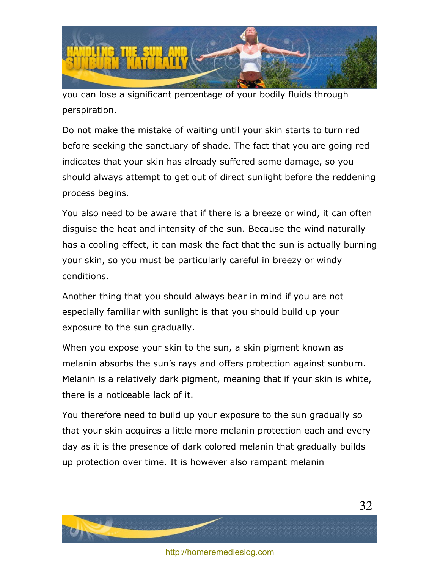

you can lose a significant percentage of your bodily fluids through perspiration.

Do not make the mistake of waiting until your skin starts to turn red before seeking the sanctuary of shade. The fact that you are going red indicates that your skin has already suffered some damage, so you should always attempt to get out of direct sunlight before the reddening process begins.

You also need to be aware that if there is a breeze or wind, it can often disguise the heat and intensity of the sun. Because the wind naturally has a cooling effect, it can mask the fact that the sun is actually burning your skin, so you must be particularly careful in breezy or windy conditions.

Another thing that you should always bear in mind if you are not especially familiar with sunlight is that you should build up your exposure to the sun gradually.

When you expose your skin to the sun, a skin pigment known as melanin absorbs the sun's rays and offers protection against sunburn. Melanin is a relatively dark pigment, meaning that if your skin is white, there is a noticeable lack of it.

You therefore need to build up your exposure to the sun gradually so that your skin acquires a little more melanin protection each and every day as it is the presence of dark colored melanin that gradually builds up protection over time. It is however also rampant melanin

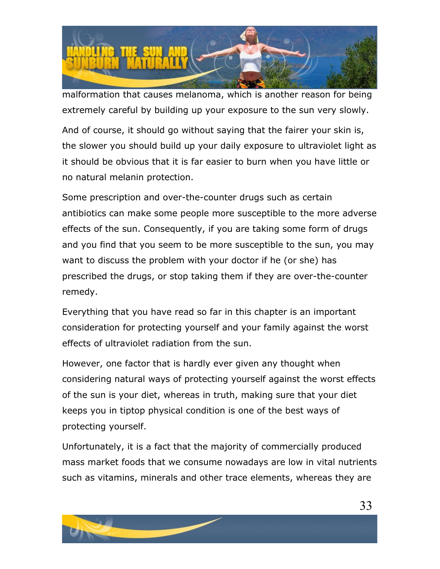

malformation that causes melanoma, which is another reason for being extremely careful by building up your exposure to the sun very slowly.

And of course, it should go without saying that the fairer your skin is, the slower you should build up your daily exposure to ultraviolet light as it should be obvious that it is far easier to burn when you have little or no natural melanin protection.

Some prescription and over-the-counter drugs such as certain antibiotics can make some people more susceptible to the more adverse effects of the sun. Consequently, if you are taking some form of drugs and you find that you seem to be more susceptible to the sun, you may want to discuss the problem with your doctor if he (or she) has prescribed the drugs, or stop taking them if they are over-the-counter remedy.

Everything that you have read so far in this chapter is an important consideration for protecting yourself and your family against the worst effects of ultraviolet radiation from the sun.

However, one factor that is hardly ever given any thought when considering natural ways of protecting yourself against the worst effects of the sun is your diet, whereas in truth, making sure that your diet keeps you in tiptop physical condition is one of the best ways of protecting yourself.

Unfortunately, it is a fact that the majority of commercially produced mass market foods that we consume nowadays are low in vital nutrients such as vitamins, minerals and other trace elements, whereas they are

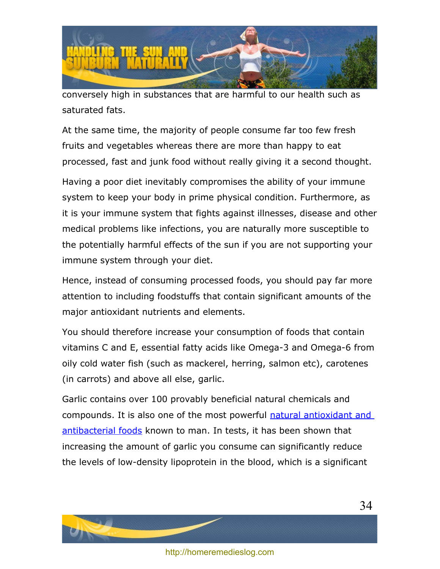

conversely high in substances that are harmful to our health such as saturated fats.

At the same time, the majority of people consume far too few fresh fruits and vegetables whereas there are more than happy to eat processed, fast and junk food without really giving it a second thought.

Having a poor diet inevitably compromises the ability of your immune system to keep your body in prime physical condition. Furthermore, as it is your immune system that fights against illnesses, disease and other medical problems like infections, you are naturally more susceptible to the potentially harmful effects of the sun if you are not supporting your immune system through your diet.

Hence, instead of consuming processed foods, you should pay far more attention to including foodstuffs that contain significant amounts of the major antioxidant nutrients and elements.

You should therefore increase your consumption of foods that contain vitamins C and E, essential fatty acids like Omega-3 and Omega-6 from oily cold water fish (such as mackerel, herring, salmon etc), carotenes (in carrots) and above all else, garlic.

Garlic contains over 100 provably beneficial natural chemicals and compounds. It is also one of the most powerful [natural antioxidant and](http://www.worldhealth.net/news/garlic_allium_sativum/) [antibacterial foods](http://www.worldhealth.net/news/garlic_allium_sativum/) known to man. In tests, it has been shown that increasing the amount of garlic you consume can significantly reduce the levels of low-density lipoprotein in the blood, which is a significant



<http://homeremedieslog.com>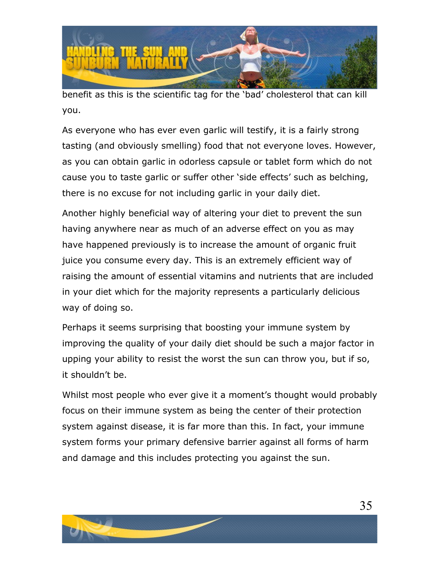

benefit as this is the scientific tag for the 'bad' cholesterol that can kill you.

As everyone who has ever even garlic will testify, it is a fairly strong tasting (and obviously smelling) food that not everyone loves. However, as you can obtain garlic in odorless capsule or tablet form which do not cause you to taste garlic or suffer other 'side effects' such as belching, there is no excuse for not including garlic in your daily diet.

Another highly beneficial way of altering your diet to prevent the sun having anywhere near as much of an adverse effect on you as may have happened previously is to increase the amount of organic fruit juice you consume every day. This is an extremely efficient way of raising the amount of essential vitamins and nutrients that are included in your diet which for the majority represents a particularly delicious way of doing so.

Perhaps it seems surprising that boosting your immune system by improving the quality of your daily diet should be such a major factor in upping your ability to resist the worst the sun can throw you, but if so, it shouldn't be.

Whilst most people who ever give it a moment's thought would probably focus on their immune system as being the center of their protection system against disease, it is far more than this. In fact, your immune system forms your primary defensive barrier against all forms of harm and damage and this includes protecting you against the sun.

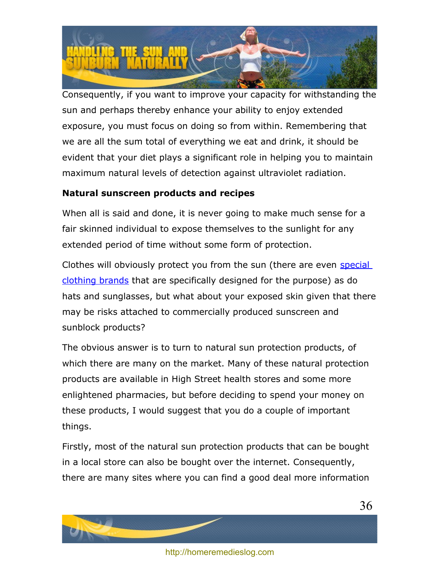

Consequently, if you want to improve your capacity for withstanding the sun and perhaps thereby enhance your ability to enjoy extended exposure, you must focus on doing so from within. Remembering that we are all the sum total of everything we eat and drink, it should be evident that your diet plays a significant role in helping you to maintain maximum natural levels of detection against ultraviolet radiation.

#### **Natural sunscreen products and recipes**

When all is said and done, it is never going to make much sense for a fair skinned individual to expose themselves to the sunlight for any extended period of time without some form of protection.

Clothes will obviously protect you from the sun (there are even [special](http://www.sunprecautions.com/) [clothing brands](http://www.sunprecautions.com/) that are specifically designed for the purpose) as do hats and sunglasses, but what about your exposed skin given that there may be risks attached to commercially produced sunscreen and sunblock products?

The obvious answer is to turn to natural sun protection products, of which there are many on the market. Many of these natural protection products are available in High Street health stores and some more enlightened pharmacies, but before deciding to spend your money on these products, I would suggest that you do a couple of important things.

Firstly, most of the natural sun protection products that can be bought in a local store can also be bought over the internet. Consequently, there are many sites where you can find a good deal more information

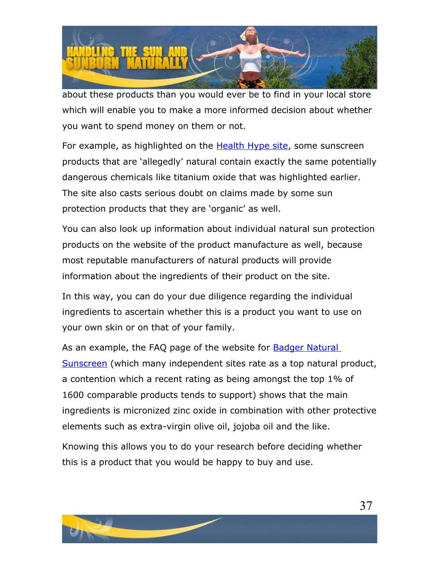

about these products than you would ever be to find in your local store which will enable you to make a more informed decision about whether you want to spend money on them or not.

For example, as highlighted on the **Health Hype site**, some sunscreen products that are 'allegedly' natural contain exactly the same potentially dangerous chemicals like titanium oxide that was highlighted earlier. The site also casts serious doubt on claims made by some sun protection products that they are 'organic' as well.

You can also look up information about individual natural sun protection products on the website of the product manufacture as well, because most reputable manufacturers of natural products will provide information about the ingredients of their product on the site.

In this way, you can do your due diligence regarding the individual ingredients to ascertain whether this is a product you want to use on your own skin or on that of your family.

As an example, the FAQ page of the website for [Badger Natural](http://www.badgerbalm.com/c-6-sun-care.aspx) [Sunscreen](http://www.badgerbalm.com/c-6-sun-care.aspx) (which many independent sites rate as a top natural product, a contention which a recent rating as being amongst the top 1% of 1600 comparable products tends to support) shows that the main ingredients is micronized zinc oxide in combination with other protective elements such as extra-virgin olive oil, jojoba oil and the like.

Knowing this allows you to do your research before deciding whether this is a product that you would be happy to buy and use.

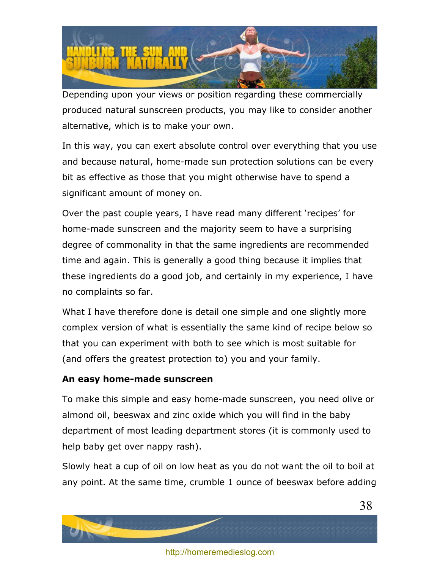

Depending upon your views or position regarding these commercially produced natural sunscreen products, you may like to consider another alternative, which is to make your own.

In this way, you can exert absolute control over everything that you use and because natural, home-made sun protection solutions can be every bit as effective as those that you might otherwise have to spend a significant amount of money on.

Over the past couple years, I have read many different 'recipes' for home-made sunscreen and the majority seem to have a surprising degree of commonality in that the same ingredients are recommended time and again. This is generally a good thing because it implies that these ingredients do a good job, and certainly in my experience, I have no complaints so far.

What I have therefore done is detail one simple and one slightly more complex version of what is essentially the same kind of recipe below so that you can experiment with both to see which is most suitable for (and offers the greatest protection to) you and your family.

#### **An easy home-made sunscreen**

To make this simple and easy home-made sunscreen, you need olive or almond oil, beeswax and zinc oxide which you will find in the baby department of most leading department stores (it is commonly used to help baby get over nappy rash).

Slowly heat a cup of oil on low heat as you do not want the oil to boil at any point. At the same time, crumble 1 ounce of beeswax before adding

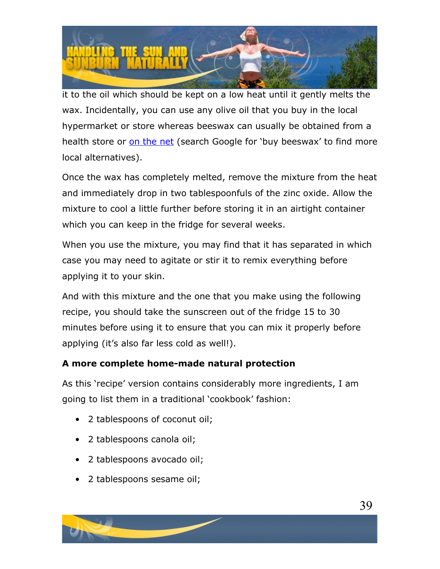

it to the oil which should be kept on a low heat until it gently melts the wax. Incidentally, you can use any olive oil that you buy in the local hypermarket or store whereas beeswax can usually be obtained from a health store or [on the net](http://www.kissmybees.com/lees-bees.htm) (search Google for 'buy beeswax' to find more local alternatives).

Once the wax has completely melted, remove the mixture from the heat and immediately drop in two tablespoonfuls of the zinc oxide. Allow the mixture to cool a little further before storing it in an airtight container which you can keep in the fridge for several weeks.

When you use the mixture, you may find that it has separated in which case you may need to agitate or stir it to remix everything before applying it to your skin.

And with this mixture and the one that you make using the following recipe, you should take the sunscreen out of the fridge 15 to 30 minutes before using it to ensure that you can mix it properly before applying (it's also far less cold as well!).

#### **A more complete home-made natural protection**

As this 'recipe' version contains considerably more ingredients, I am going to list them in a traditional 'cookbook' fashion:

- 2 tablespoons of coconut oil;
- 2 tablespoons canola oil;
- 2 tablespoons avocado oil;
- 2 tablespoons sesame oil;

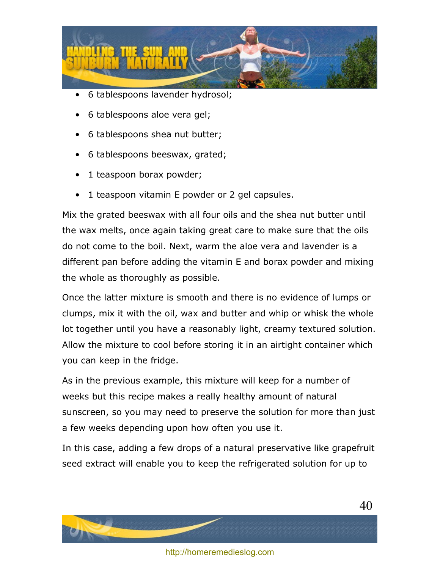

- 6 tablespoons lavender hydrosol;
- 6 tablespoons aloe vera gel;
- 6 tablespoons shea nut butter;
- 6 tablespoons beeswax, grated;
- 1 teaspoon borax powder;
- 1 teaspoon vitamin E powder or 2 gel capsules.

Mix the grated beeswax with all four oils and the shea nut butter until the wax melts, once again taking great care to make sure that the oils do not come to the boil. Next, warm the aloe vera and lavender is a different pan before adding the vitamin E and borax powder and mixing the whole as thoroughly as possible.

Once the latter mixture is smooth and there is no evidence of lumps or clumps, mix it with the oil, wax and butter and whip or whisk the whole lot together until you have a reasonably light, creamy textured solution. Allow the mixture to cool before storing it in an airtight container which you can keep in the fridge.

As in the previous example, this mixture will keep for a number of weeks but this recipe makes a really healthy amount of natural sunscreen, so you may need to preserve the solution for more than just a few weeks depending upon how often you use it.

In this case, adding a few drops of a natural preservative like grapefruit seed extract will enable you to keep the refrigerated solution for up to

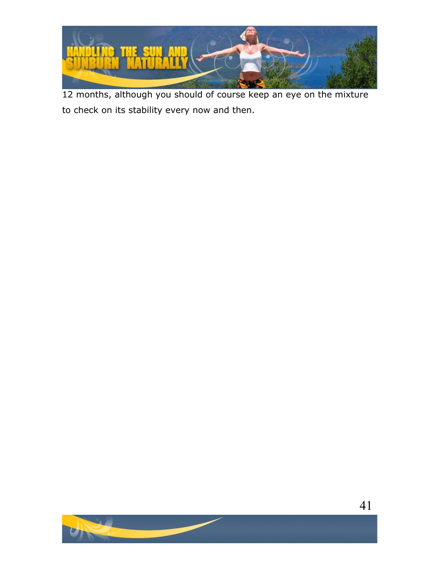

12 months, although you should of course keep an eye on the mixture to check on its stability every now and then.



41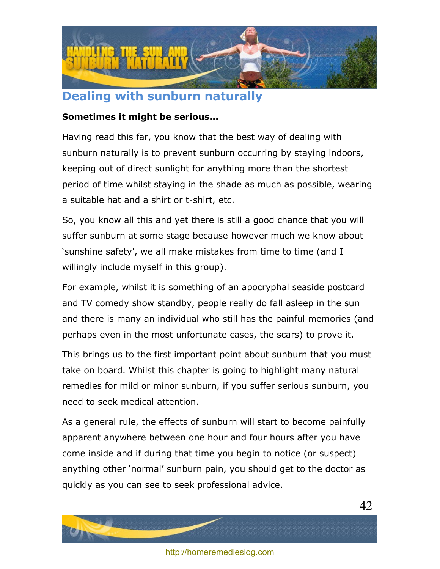

# <span id="page-41-0"></span>**Dealing with sunburn naturally**

#### **Sometimes it might be serious…**

Having read this far, you know that the best way of dealing with sunburn naturally is to prevent sunburn occurring by staying indoors, keeping out of direct sunlight for anything more than the shortest period of time whilst staying in the shade as much as possible, wearing a suitable hat and a shirt or t-shirt, etc.

So, you know all this and yet there is still a good chance that you will suffer sunburn at some stage because however much we know about 'sunshine safety', we all make mistakes from time to time (and I willingly include myself in this group).

For example, whilst it is something of an apocryphal seaside postcard and TV comedy show standby, people really do fall asleep in the sun and there is many an individual who still has the painful memories (and perhaps even in the most unfortunate cases, the scars) to prove it.

This brings us to the first important point about sunburn that you must take on board. Whilst this chapter is going to highlight many natural remedies for mild or minor sunburn, if you suffer serious sunburn, you need to seek medical attention.

As a general rule, the effects of sunburn will start to become painfully apparent anywhere between one hour and four hours after you have come inside and if during that time you begin to notice (or suspect) anything other 'normal' sunburn pain, you should get to the doctor as quickly as you can see to seek professional advice.

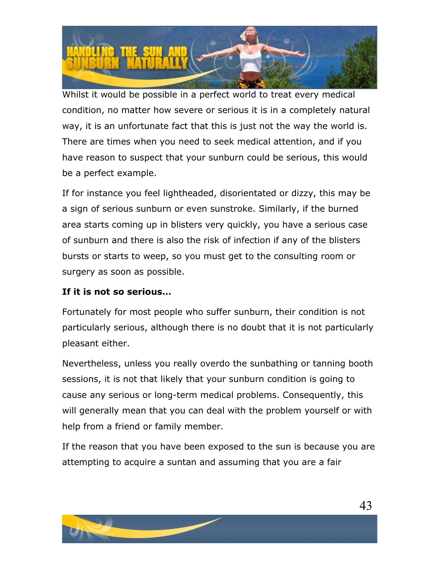

Whilst it would be possible in a perfect world to treat every medical condition, no matter how severe or serious it is in a completely natural way, it is an unfortunate fact that this is just not the way the world is. There are times when you need to seek medical attention, and if you have reason to suspect that your sunburn could be serious, this would be a perfect example.

If for instance you feel lightheaded, disorientated or dizzy, this may be a sign of serious sunburn or even sunstroke. Similarly, if the burned area starts coming up in blisters very quickly, you have a serious case of sunburn and there is also the risk of infection if any of the blisters bursts or starts to weep, so you must get to the consulting room or surgery as soon as possible.

#### **If it is not so serious…**

Fortunately for most people who suffer sunburn, their condition is not particularly serious, although there is no doubt that it is not particularly pleasant either.

Nevertheless, unless you really overdo the sunbathing or tanning booth sessions, it is not that likely that your sunburn condition is going to cause any serious or long-term medical problems. Consequently, this will generally mean that you can deal with the problem yourself or with help from a friend or family member.

If the reason that you have been exposed to the sun is because you are attempting to acquire a suntan and assuming that you are a fair

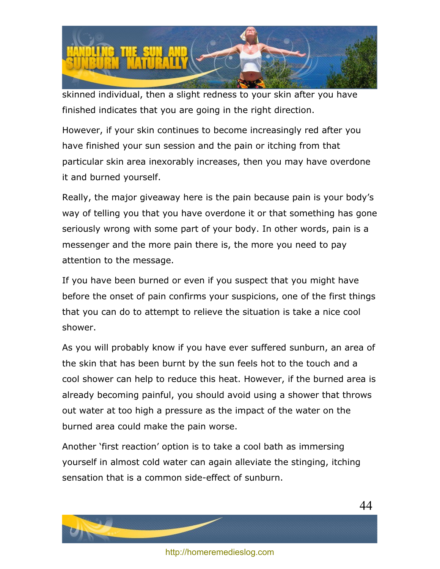

skinned individual, then a slight redness to your skin after you have finished indicates that you are going in the right direction.

However, if your skin continues to become increasingly red after you have finished your sun session and the pain or itching from that particular skin area inexorably increases, then you may have overdone it and burned yourself.

Really, the major giveaway here is the pain because pain is your body's way of telling you that you have overdone it or that something has gone seriously wrong with some part of your body. In other words, pain is a messenger and the more pain there is, the more you need to pay attention to the message.

If you have been burned or even if you suspect that you might have before the onset of pain confirms your suspicions, one of the first things that you can do to attempt to relieve the situation is take a nice cool shower.

As you will probably know if you have ever suffered sunburn, an area of the skin that has been burnt by the sun feels hot to the touch and a cool shower can help to reduce this heat. However, if the burned area is already becoming painful, you should avoid using a shower that throws out water at too high a pressure as the impact of the water on the burned area could make the pain worse.

Another 'first reaction' option is to take a cool bath as immersing yourself in almost cold water can again alleviate the stinging, itching sensation that is a common side-effect of sunburn.

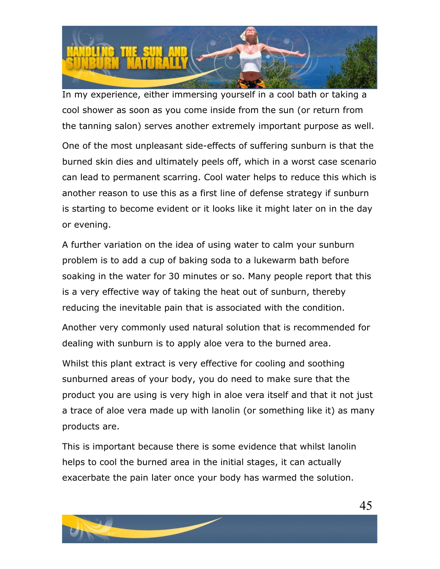

In my experience, either immersing yourself in a cool bath or taking a cool shower as soon as you come inside from the sun (or return from the tanning salon) serves another extremely important purpose as well.

One of the most unpleasant side-effects of suffering sunburn is that the burned skin dies and ultimately peels off, which in a worst case scenario can lead to permanent scarring. Cool water helps to reduce this which is another reason to use this as a first line of defense strategy if sunburn is starting to become evident or it looks like it might later on in the day or evening.

A further variation on the idea of using water to calm your sunburn problem is to add a cup of baking soda to a lukewarm bath before soaking in the water for 30 minutes or so. Many people report that this is a very effective way of taking the heat out of sunburn, thereby reducing the inevitable pain that is associated with the condition.

Another very commonly used natural solution that is recommended for dealing with sunburn is to apply aloe vera to the burned area.

Whilst this plant extract is very effective for cooling and soothing sunburned areas of your body, you do need to make sure that the product you are using is very high in aloe vera itself and that it not just a trace of aloe vera made up with lanolin (or something like it) as many products are.

This is important because there is some evidence that whilst lanolin helps to cool the burned area in the initial stages, it can actually exacerbate the pain later once your body has warmed the solution.



45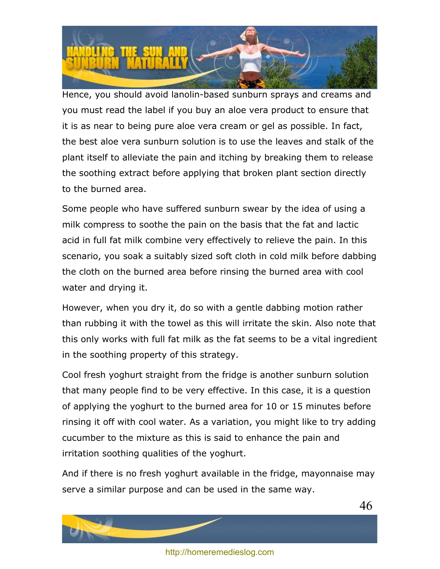

Hence, you should avoid lanolin-based sunburn sprays and creams and you must read the label if you buy an aloe vera product to ensure that it is as near to being pure aloe vera cream or gel as possible. In fact, the best aloe vera sunburn solution is to use the leaves and stalk of the plant itself to alleviate the pain and itching by breaking them to release the soothing extract before applying that broken plant section directly to the burned area.

Some people who have suffered sunburn swear by the idea of using a milk compress to soothe the pain on the basis that the fat and lactic acid in full fat milk combine very effectively to relieve the pain. In this scenario, you soak a suitably sized soft cloth in cold milk before dabbing the cloth on the burned area before rinsing the burned area with cool water and drying it.

However, when you dry it, do so with a gentle dabbing motion rather than rubbing it with the towel as this will irritate the skin. Also note that this only works with full fat milk as the fat seems to be a vital ingredient in the soothing property of this strategy.

Cool fresh yoghurt straight from the fridge is another sunburn solution that many people find to be very effective. In this case, it is a question of applying the yoghurt to the burned area for 10 or 15 minutes before rinsing it off with cool water. As a variation, you might like to try adding cucumber to the mixture as this is said to enhance the pain and irritation soothing qualities of the yoghurt.

And if there is no fresh yoghurt available in the fridge, mayonnaise may serve a similar purpose and can be used in the same way.

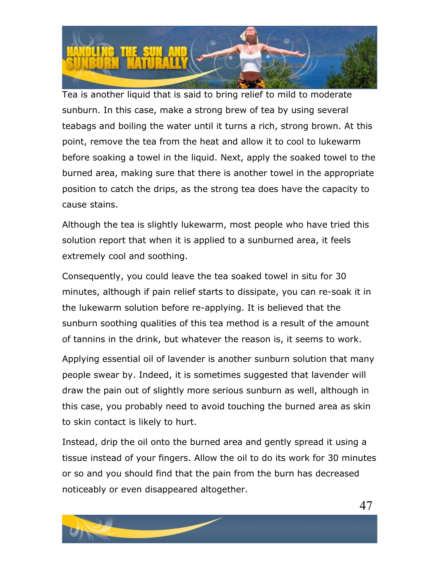

Tea is another liquid that is said to bring relief to mild to moderate sunburn. In this case, make a strong brew of tea by using several teabags and boiling the water until it turns a rich, strong brown. At this point, remove the tea from the heat and allow it to cool to lukewarm before soaking a towel in the liquid. Next, apply the soaked towel to the burned area, making sure that there is another towel in the appropriate position to catch the drips, as the strong tea does have the capacity to cause stains.

Although the tea is slightly lukewarm, most people who have tried this solution report that when it is applied to a sunburned area, it feels extremely cool and soothing.

Consequently, you could leave the tea soaked towel in situ for 30 minutes, although if pain relief starts to dissipate, you can re-soak it in the lukewarm solution before re-applying. It is believed that the sunburn soothing qualities of this tea method is a result of the amount of tannins in the drink, but whatever the reason is, it seems to work.

Applying essential oil of lavender is another sunburn solution that many people swear by. Indeed, it is sometimes suggested that lavender will draw the pain out of slightly more serious sunburn as well, although in this case, you probably need to avoid touching the burned area as skin to skin contact is likely to hurt.

Instead, drip the oil onto the burned area and gently spread it using a tissue instead of your fingers. Allow the oil to do its work for 30 minutes or so and you should find that the pain from the burn has decreased noticeably or even disappeared altogether.

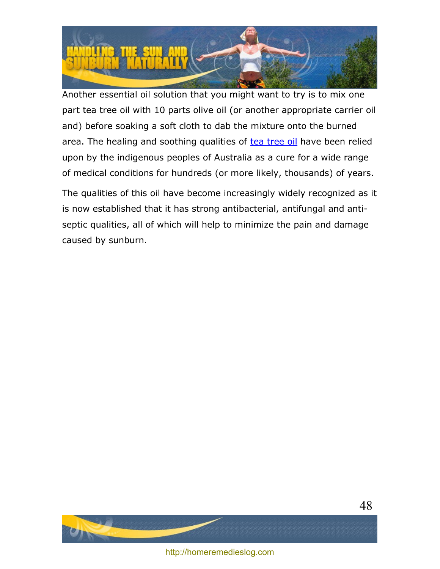

Another essential oil solution that you might want to try is to mix one part tea tree oil with 10 parts olive oil (or another appropriate carrier oil and) before soaking a soft cloth to dab the mixture onto the burned area. The healing and soothing qualities of [tea tree oil](http://en.wikipedia.org/wiki/Tea_tree_oil) have been relied upon by the indigenous peoples of Australia as a cure for a wide range of medical conditions for hundreds (or more likely, thousands) of years.

The qualities of this oil have become increasingly widely recognized as it is now established that it has strong antibacterial, antifungal and antiseptic qualities, all of which will help to minimize the pain and damage caused by sunburn.



<http://homeremedieslog.com>

48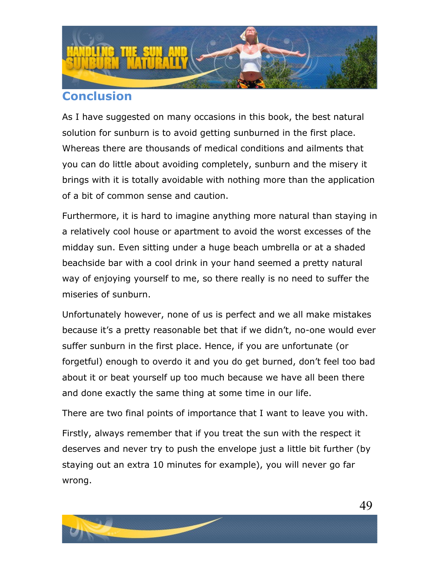

# <span id="page-48-0"></span>**Conclusion**

As I have suggested on many occasions in this book, the best natural solution for sunburn is to avoid getting sunburned in the first place. Whereas there are thousands of medical conditions and ailments that you can do little about avoiding completely, sunburn and the misery it brings with it is totally avoidable with nothing more than the application of a bit of common sense and caution.

Furthermore, it is hard to imagine anything more natural than staying in a relatively cool house or apartment to avoid the worst excesses of the midday sun. Even sitting under a huge beach umbrella or at a shaded beachside bar with a cool drink in your hand seemed a pretty natural way of enjoying yourself to me, so there really is no need to suffer the miseries of sunburn.

Unfortunately however, none of us is perfect and we all make mistakes because it's a pretty reasonable bet that if we didn't, no-one would ever suffer sunburn in the first place. Hence, if you are unfortunate (or forgetful) enough to overdo it and you do get burned, don't feel too bad about it or beat yourself up too much because we have all been there and done exactly the same thing at some time in our life.

There are two final points of importance that I want to leave you with.

Firstly, always remember that if you treat the sun with the respect it deserves and never try to push the envelope just a little bit further (by staying out an extra 10 minutes for example), you will never go far wrong.